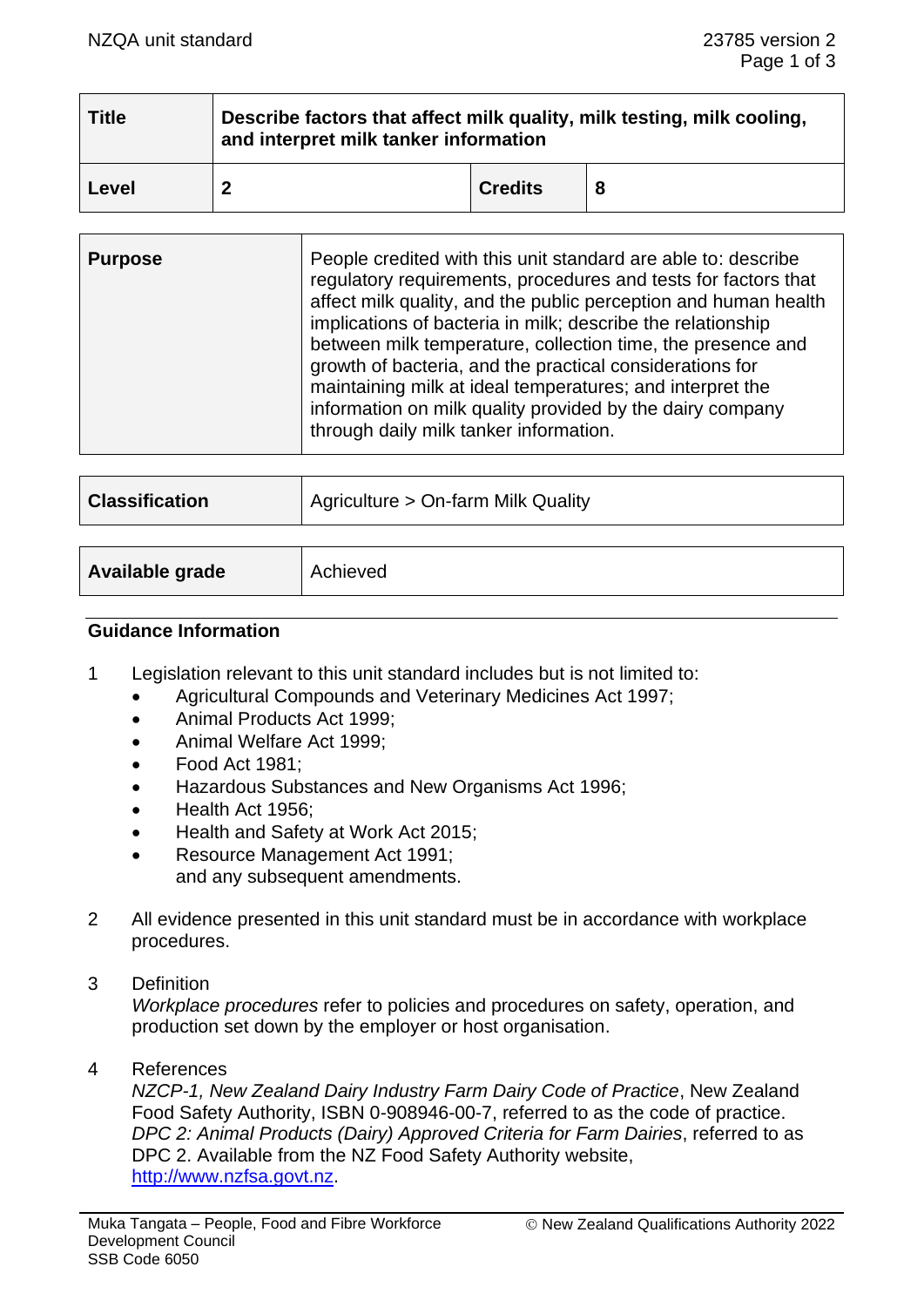| <b>Title</b> | Describe factors that affect milk quality, milk testing, milk cooling,<br>and interpret milk tanker information |                |  |  |  |
|--------------|-----------------------------------------------------------------------------------------------------------------|----------------|--|--|--|
| Level        | າ                                                                                                               | <b>Credits</b> |  |  |  |

| <b>Purpose</b> | People credited with this unit standard are able to: describe<br>regulatory requirements, procedures and tests for factors that<br>affect milk quality, and the public perception and human health<br>implications of bacteria in milk; describe the relationship<br>between milk temperature, collection time, the presence and<br>growth of bacteria, and the practical considerations for<br>maintaining milk at ideal temperatures; and interpret the<br>information on milk quality provided by the dairy company<br>through daily milk tanker information. |
|----------------|------------------------------------------------------------------------------------------------------------------------------------------------------------------------------------------------------------------------------------------------------------------------------------------------------------------------------------------------------------------------------------------------------------------------------------------------------------------------------------------------------------------------------------------------------------------|
|----------------|------------------------------------------------------------------------------------------------------------------------------------------------------------------------------------------------------------------------------------------------------------------------------------------------------------------------------------------------------------------------------------------------------------------------------------------------------------------------------------------------------------------------------------------------------------------|

| <b>Classification</b> | Agriculture > On-farm Milk Quality |  |
|-----------------------|------------------------------------|--|
|                       |                                    |  |
| Available grade       | Achieved                           |  |

#### **Guidance Information**

- 1 Legislation relevant to this unit standard includes but is not limited to:
	- Agricultural Compounds and Veterinary Medicines Act 1997;
	- Animal Products Act 1999;
	- Animal Welfare Act 1999;
	- Food Act 1981;
	- Hazardous Substances and New Organisms Act 1996;
	- Health Act 1956;
	- Health and Safety at Work Act 2015;
	- Resource Management Act 1991; and any subsequent amendments.
- 2 All evidence presented in this unit standard must be in accordance with workplace procedures.
- 3 Definition

*Workplace procedures* refer to policies and procedures on safety, operation, and production set down by the employer or host organisation.

4 References

*NZCP-1, New Zealand Dairy Industry Farm Dairy Code of Practice*, New Zealand Food Safety Authority, ISBN 0-908946-00-7, referred to as the code of practice. *DPC 2: Animal Products (Dairy) Approved Criteria for Farm Dairies*, referred to as DPC 2. Available from the NZ Food Safety Authority website, [http://www.nzfsa.govt.nz.](http://www.nzfsa.govt.nz/)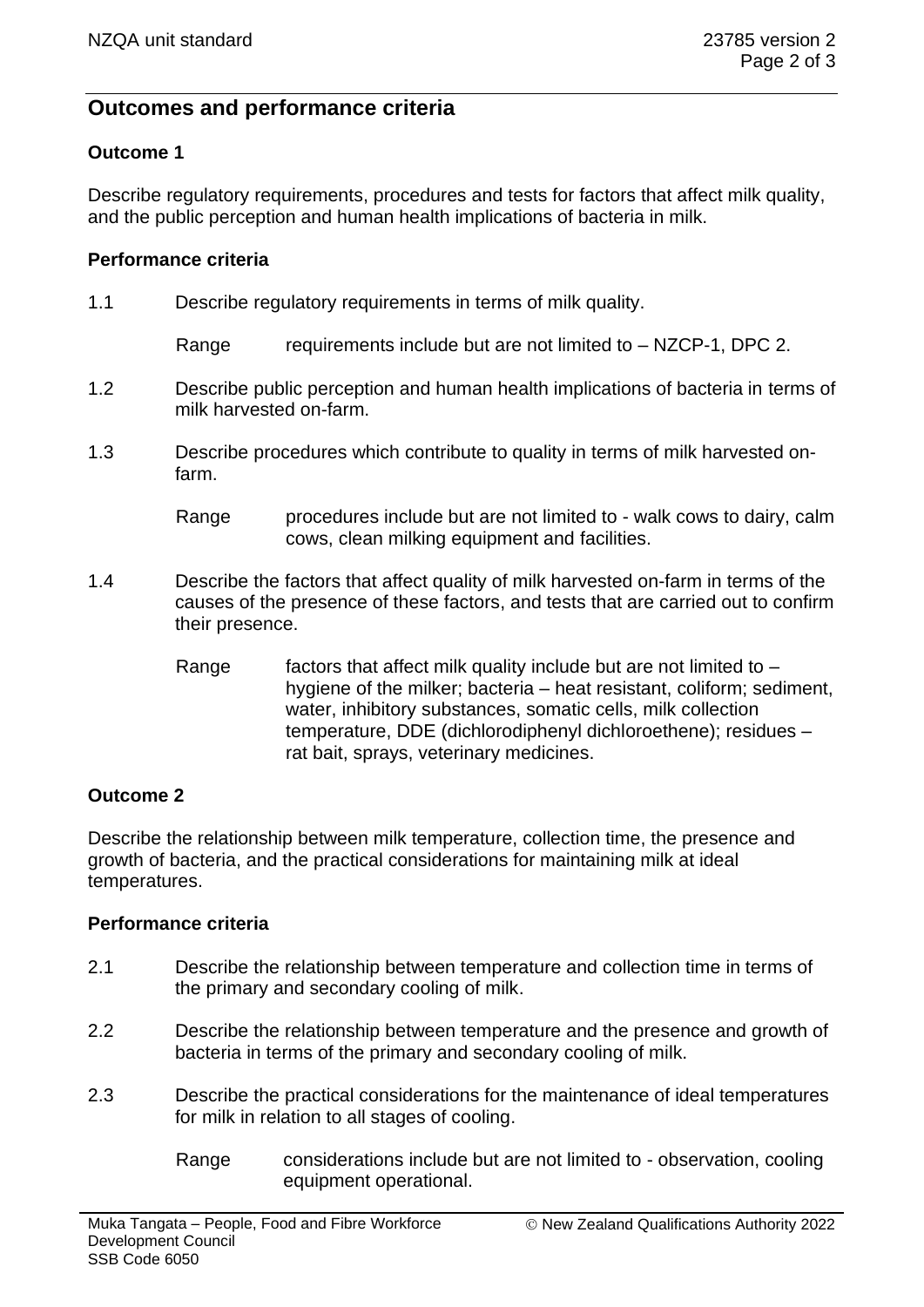# **Outcomes and performance criteria**

### **Outcome 1**

Describe regulatory requirements, procedures and tests for factors that affect milk quality, and the public perception and human health implications of bacteria in milk.

#### **Performance criteria**

1.1 Describe regulatory requirements in terms of milk quality.

Range requirements include but are not limited to  $-$  NZCP-1, DPC 2.

- 1.2 Describe public perception and human health implications of bacteria in terms of milk harvested on-farm.
- 1.3 Describe procedures which contribute to quality in terms of milk harvested onfarm.
	- Range procedures include but are not limited to walk cows to dairy, calm cows, clean milking equipment and facilities.
- 1.4 Describe the factors that affect quality of milk harvested on-farm in terms of the causes of the presence of these factors, and tests that are carried out to confirm their presence.
	- Range factors that affect milk quality include but are not limited to  $$ hygiene of the milker; bacteria – heat resistant, coliform; sediment, water, inhibitory substances, somatic cells, milk collection temperature, DDE (dichlorodiphenyl dichloroethene); residues – rat bait, sprays, veterinary medicines.

#### **Outcome 2**

Describe the relationship between milk temperature, collection time, the presence and growth of bacteria, and the practical considerations for maintaining milk at ideal temperatures.

#### **Performance criteria**

- 2.1 Describe the relationship between temperature and collection time in terms of the primary and secondary cooling of milk.
- 2.2 Describe the relationship between temperature and the presence and growth of bacteria in terms of the primary and secondary cooling of milk.
- 2.3 Describe the practical considerations for the maintenance of ideal temperatures for milk in relation to all stages of cooling.
	- Range considerations include but are not limited to observation, cooling equipment operational.